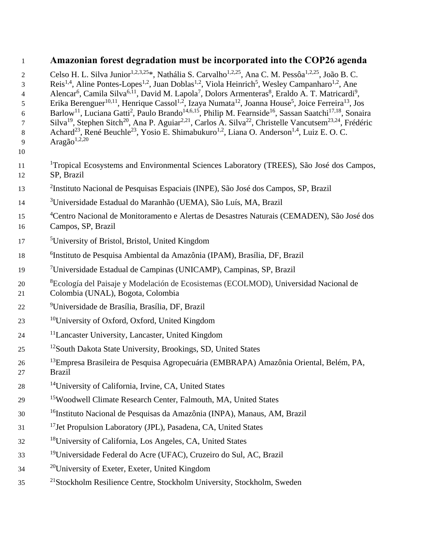## 1 **Amazonian forest degradation must be incorporated into the COP26 agenda**

- 2 Celso H. L. Silva Junior<sup>1,2,3,25</sup>\*, Nathália S. Carvalho<sup>1,2,25</sup>, Ana C. M. Pessôa<sup>1,2,25</sup>, João B. C.
- Reis<sup>1,4</sup>, Aline Pontes-Lopes<sup>1,2</sup>, Juan Doblas<sup>1,2</sup>, Viola Heinrich<sup>5</sup>, Wesley Campanharo<sup>1,2</sup>, Ane
- 4 Alencar<sup>6</sup>, Camila Silva<sup>6,11</sup>, David M. Lapola<sup>7</sup>, Dolors Armenteras<sup>8</sup>, Eraldo A. T. Matricardi<sup>9</sup>,
- 5 Erika Berenguer<sup>10,11</sup>, Henrique Cassol<sup>1,2</sup>, Izaya Numata<sup>12</sup>, Joanna House<sup>5</sup>, Joice Ferreira<sup>13</sup>, Jos
- 6 Barlow<sup>11</sup>, Luciana Gatti<sup>2</sup>, Paulo Brando<sup>14,6,15</sup>, Philip M. Fearnside<sup>16</sup>, Sassan Saatchi<sup>17,18</sup>, Sonaira
- 7 Silva<sup>19</sup>, Stephen Sitch<sup>20</sup>, Ana P. Aguiar<sup>2,21</sup>, Carlos A. Silva<sup>22</sup>, Christelle Vancutsem<sup>23,24</sup>, Frédéric
- 8 Achard<sup>23</sup>, René Beuchle<sup>23</sup>, Yosio E. Shimabukuro<sup>1,2</sup>, Liana O. Anderson<sup>1,4</sup>, Luiz E. O. C. 9  $\text{Area}$ ão<sup>1,2,20</sup>
- 10
- <sup>1</sup> Tropical Ecosystems and Environmental Sciences Laboratory (TREES), São José dos Campos, 12 SP, Brazil
- <sup>2</sup>Instituto Nacional de Pesquisas Espaciais (INPE), São José dos Campos, SP, Brazil
- 3 14 Universidade Estadual do Maranhão (UEMA), São Luís, MA, Brazil
- <sup>4</sup> Centro Nacional de Monitoramento e Alertas de Desastres Naturais (CEMADEN), São José dos 16 Campos, SP, Brazil
- 5 17 University of Bristol, Bristol, United Kingdom
- 6 18 Instituto de Pesquisa Ambiental da Amazônia (IPAM), Brasília, DF, Brazil
- 7 19 Universidade Estadual de Campinas (UNICAMP), Campinas, SP, Brazil
- <sup>8</sup> Ecología del Paisaje y Modelación de Ecosistemas (ECOLMOD), Universidad Nacional de
- 21 Colombia (UNAL), Bogota, Colombia
- 9 22 Universidade de Brasília, Brasília, DF, Brazil
- <sup>10</sup> 23 University of Oxford, Oxford, United Kingdom
- <sup>11</sup> 24 Lancaster University, Lancaster, United Kingdom
- <sup>12</sup> 25 <sup>12</sup> South Dakota State University, Brookings, SD, United States
- <sup>13</sup> 26 Empresa Brasileira de Pesquisa Agropecuária (EMBRAPA) Amazônia Oriental, Belém, PA,
- 27 Brazil
- <sup>14</sup> 28 University of California, Irvine, CA, United States
- 29 <sup>15</sup>Woodwell Climate Research Center, Falmouth, MA, United States
- <sup>16</sup> 30 Instituto Nacional de Pesquisas da Amazônia (INPA), Manaus, AM, Brazil
- <sup>17</sup> Jet Propulsion Laboratory (JPL), Pasadena, CA, United States
- <sup>18</sup> 32 University of California, Los Angeles, CA, United States
- <sup>19</sup> 33 Universidade Federal do Acre (UFAC), Cruzeiro do Sul, AC, Brazil
- $34 \text{ }$ <sup>20</sup> University of Exeter, Exeter, United Kingdom
- <sup>21</sup> Stockholm Resilience Centre, Stockholm University, Stockholm, Sweden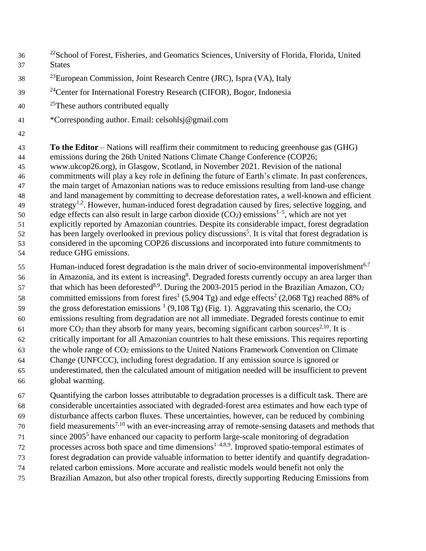- <sup>22</sup> School of Forest, Fisheries, and Geomatics Sciences, University of Florida, Florida, United States
- <sup>23</sup> European Commission, Joint Research Centre (JRC), Ispra (VA), Italy
- <sup>24</sup> 2<sup>4</sup> 2<sup>4</sup> Center for International Forestry Research (CIFOR), Bogor, Indonesia
- 40 <sup>25</sup>These authors contributed equally
- \*Corresponding author. Email: celsohlsj@gmail.com
- 

 **To the Editor** – Nations will reaffirm their commitment to reducing greenhouse gas (GHG) emissions during the 26th United Nations Climate Change Conference (COP26; www.ukcop26.org), in Glasgow, Scotland, in November 2021. Revision of the national commitments will play a key role in defining the future of Earth's climate. In past conferences, the main target of Amazonian nations was to reduce emissions resulting from land-use change and land management by committing to decrease deforestation rates, a well-known and efficient strategy<sup>1,2</sup>. However, human-induced forest degradation caused by fires, selective logging, and edge effects can also result in large carbon dioxide (CO<sub>2</sub>) emissions<sup>1-5</sup>, which are not yet explicitly reported by Amazonian countries. Despite its considerable impact, forest degradation has been largely overlooked in previous policy discussions<sup>5</sup>. It is vital that forest degradation is considered in the upcoming COP26 discussions and incorporated into future commitments to reduce GHG emissions.

55 Human-induced forest degradation is the main driver of socio-environmental impoverishment<sup>6,7</sup> 56 in Amazonia, and its extent is increasing<sup>8</sup>. Degraded forests currently occupy an area larger than that which has been deforested<sup>8,9</sup>. During the 2003-2015 period in the Brazilian Amazon,  $CO<sub>2</sub>$ committed emissions from forest fires<sup>1</sup> (5,904 Tg) and edge effects<sup>2</sup> (2,068 Tg) reached 88% of the gross deforestation emissions  $(9,108 \text{ Tg})$  (Fig. 1). Aggravating this scenario, the CO<sub>2</sub> emissions resulting from degradation are not all immediate. Degraded forests continue to emit  $\mu$  more CO<sub>2</sub> than they absorb for many years, becoming significant carbon sources<sup>2,10</sup>. It is critically important for all Amazonian countries to halt these emissions. This requires reporting the whole range of CO<sup>2</sup> emissions to the United Nations Framework Convention on Climate Change (UNFCCC), including forest degradation. If any emission source is ignored or underestimated, then the calculated amount of mitigation needed will be insufficient to prevent global warming.

 Quantifying the carbon losses attributable to degradation processes is a difficult task. There are considerable uncertainties associated with degraded-forest area estimates and how each type of disturbance affects carbon fluxes. These uncertainties, however, can be reduced by combining  $\frac{7}{10}$  field measurements<sup>7,10</sup> with an ever-increasing array of remote-sensing datasets and methods that 71 since 2005<sup>5</sup> have enhanced our capacity to perform large-scale monitoring of degradation processes across both space and time dimensions<sup> $1-4,8,9$ </sup>. Improved spatio-temporal estimates of forest degradation can provide valuable information to better identify and quantify degradation- related carbon emissions. More accurate and realistic models would benefit not only the Brazilian Amazon, but also other tropical forests, directly supporting Reducing Emissions from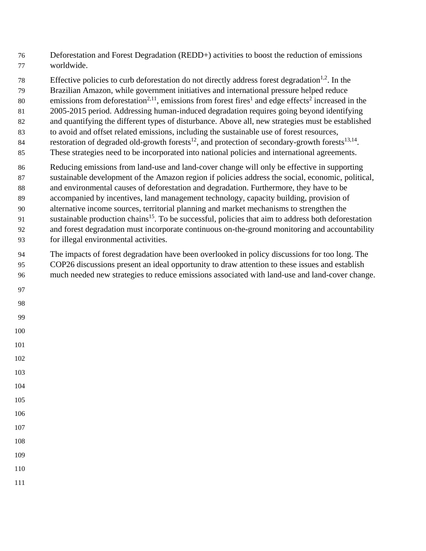- Deforestation and Forest Degradation (REDD+) activities to boost the reduction of emissions worldwide.
- Effective policies to curb deforestation do not directly address forest degradation<sup>1,2</sup>. In the
- Brazilian Amazon, while government initiatives and international pressure helped reduce
- 80 emissions from deforestation<sup>2,11</sup>, emissions from forest fires<sup>1</sup> and edge effects<sup>2</sup> increased in the
- 2005-2015 period. Addressing human-induced degradation requires going beyond identifying
- and quantifying the different types of disturbance. Above all, new strategies must be established
- to avoid and offset related emissions, including the sustainable use of forest resources, restoration of degraded old-growth forests<sup>12</sup>, and protection of secondary-growth forests<sup>13,14</sup>.
- These strategies need to be incorporated into national policies and international agreements.
- Reducing emissions from land-use and land-cover change will only be effective in supporting sustainable development of the Amazon region if policies address the social, economic, political, and environmental causes of deforestation and degradation. Furthermore, they have to be accompanied by incentives, land management technology, capacity building, provision of alternative income sources, territorial planning and market mechanisms to strengthen the 91 sustainable production chains<sup>15</sup>. To be successful, policies that aim to address both deforestation and forest degradation must incorporate continuous on-the-ground monitoring and accountability for illegal environmental activities.
- The impacts of forest degradation have been overlooked in policy discussions for too long. The COP26 discussions present an ideal opportunity to draw attention to these issues and establish much needed new strategies to reduce emissions associated with land-use and land-cover change.
- 
- 
- 
- 
- 
- 
- 
- 
- 
- 
- 
- 
-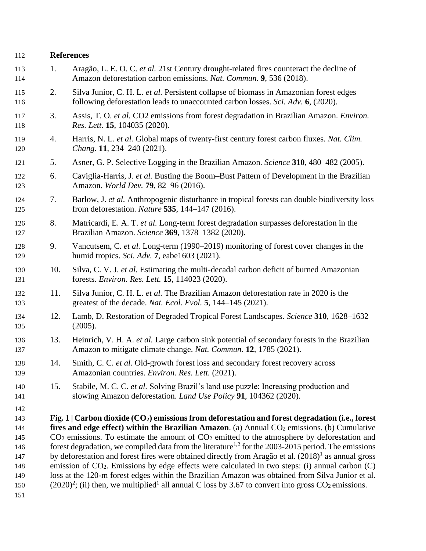| 112                                                                | <b>References</b> |                                                                                                                                                                                                                                                                                                                                                                                                                                                                                                                                                                                                                                                                                                                                                                                                                                                                                                   |
|--------------------------------------------------------------------|-------------------|---------------------------------------------------------------------------------------------------------------------------------------------------------------------------------------------------------------------------------------------------------------------------------------------------------------------------------------------------------------------------------------------------------------------------------------------------------------------------------------------------------------------------------------------------------------------------------------------------------------------------------------------------------------------------------------------------------------------------------------------------------------------------------------------------------------------------------------------------------------------------------------------------|
| 113<br>114                                                         | 1.                | Aragão, L. E. O. C. et al. 21st Century drought-related fires counteract the decline of<br>Amazon deforestation carbon emissions. Nat. Commun. 9, 536 (2018).                                                                                                                                                                                                                                                                                                                                                                                                                                                                                                                                                                                                                                                                                                                                     |
| 115<br>116                                                         | 2.                | Silva Junior, C. H. L. et al. Persistent collapse of biomass in Amazonian forest edges<br>following deforestation leads to unaccounted carbon losses. Sci. Adv. 6, (2020).                                                                                                                                                                                                                                                                                                                                                                                                                                                                                                                                                                                                                                                                                                                        |
| 117<br>118                                                         | 3.                | Assis, T. O. et al. CO2 emissions from forest degradation in Brazilian Amazon. Environ.<br>Res. Lett. 15, 104035 (2020).                                                                                                                                                                                                                                                                                                                                                                                                                                                                                                                                                                                                                                                                                                                                                                          |
| 119<br>120                                                         | 4.                | Harris, N. L. et al. Global maps of twenty-first century forest carbon fluxes. Nat. Clim.<br>Chang. 11, 234–240 (2021).                                                                                                                                                                                                                                                                                                                                                                                                                                                                                                                                                                                                                                                                                                                                                                           |
| 121                                                                | 5.                | Asner, G. P. Selective Logging in the Brazilian Amazon. Science 310, 480–482 (2005).                                                                                                                                                                                                                                                                                                                                                                                                                                                                                                                                                                                                                                                                                                                                                                                                              |
| 122<br>123                                                         | 6.                | Caviglia-Harris, J. et al. Busting the Boom-Bust Pattern of Development in the Brazilian<br>Amazon. World Dev. 79, 82-96 (2016).                                                                                                                                                                                                                                                                                                                                                                                                                                                                                                                                                                                                                                                                                                                                                                  |
| 124<br>125                                                         | 7.                | Barlow, J. et al. Anthropogenic disturbance in tropical forests can double biodiversity loss<br>from deforestation. <i>Nature</i> 535, 144–147 (2016).                                                                                                                                                                                                                                                                                                                                                                                                                                                                                                                                                                                                                                                                                                                                            |
| 126<br>127                                                         | 8.                | Matricardi, E. A. T. et al. Long-term forest degradation surpasses deforestation in the<br>Brazilian Amazon. Science 369, 1378-1382 (2020).                                                                                                                                                                                                                                                                                                                                                                                                                                                                                                                                                                                                                                                                                                                                                       |
| 128<br>129                                                         | 9.                | Vancutsem, C. et al. Long-term (1990–2019) monitoring of forest cover changes in the<br>humid tropics. Sci. Adv. $7$ , eabe1603 (2021).                                                                                                                                                                                                                                                                                                                                                                                                                                                                                                                                                                                                                                                                                                                                                           |
| 130<br>131                                                         | 10.               | Silva, C. V. J. et al. Estimating the multi-decadal carbon deficit of burned Amazonian<br>forests. Environ. Res. Lett. 15, 114023 (2020).                                                                                                                                                                                                                                                                                                                                                                                                                                                                                                                                                                                                                                                                                                                                                         |
| 132<br>133                                                         | 11.               | Silva Junior, C. H. L. et al. The Brazilian Amazon deforestation rate in 2020 is the<br>greatest of the decade. Nat. Ecol. Evol. 5, 144–145 (2021).                                                                                                                                                                                                                                                                                                                                                                                                                                                                                                                                                                                                                                                                                                                                               |
| 134<br>135                                                         | 12.               | Lamb, D. Restoration of Degraded Tropical Forest Landscapes. Science 310, 1628–1632<br>(2005).                                                                                                                                                                                                                                                                                                                                                                                                                                                                                                                                                                                                                                                                                                                                                                                                    |
| 136<br>137                                                         | 13.               | Heinrich, V. H. A. et al. Large carbon sink potential of secondary forests in the Brazilian<br>Amazon to mitigate climate change. Nat. Commun. 12, 1785 (2021).                                                                                                                                                                                                                                                                                                                                                                                                                                                                                                                                                                                                                                                                                                                                   |
| 138<br>139                                                         | 14.               | Smith, C. C. et al. Old-growth forest loss and secondary forest recovery across<br>Amazonian countries. Environ. Res. Lett. (2021).                                                                                                                                                                                                                                                                                                                                                                                                                                                                                                                                                                                                                                                                                                                                                               |
| 140<br>141                                                         | 15.               | Stabile, M. C. C. et al. Solving Brazil's land use puzzle: Increasing production and<br>slowing Amazon deforestation. Land Use Policy 91, 104362 (2020).                                                                                                                                                                                                                                                                                                                                                                                                                                                                                                                                                                                                                                                                                                                                          |
| 142<br>143<br>144<br>145<br>146<br>147<br>148<br>149<br>150<br>151 |                   | Fig. 1   Carbon dioxide $(CO_2)$ emissions from deforestation and forest degradation (i.e., forest<br>fires and edge effect) within the Brazilian Amazon. (a) Annual $CO2$ emissions. (b) Cumulative<br>$CO2$ emissions. To estimate the amount of $CO2$ emitted to the atmosphere by deforestation and<br>forest degradation, we compiled data from the literature <sup>1,2</sup> for the 2003-2015 period. The emissions<br>by deforestation and forest fires were obtained directly from Aragão et al. (2018) <sup>1</sup> as annual gross<br>emission of CO <sub>2</sub> . Emissions by edge effects were calculated in two steps: (i) annual carbon (C)<br>loss at the 120-m forest edges within the Brazilian Amazon was obtained from Silva Junior et al.<br>$(2020)^2$ ; (ii) then, we multiplied <sup>1</sup> all annual C loss by 3.67 to convert into gross CO <sub>2</sub> emissions. |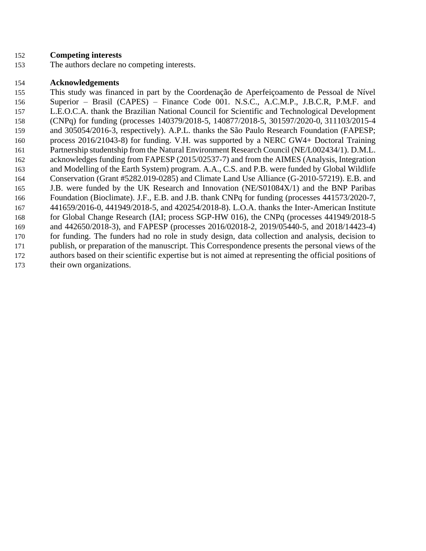## **Competing interests**

The authors declare no competing interests.

## **Acknowledgements**

 This study was financed in part by the Coordenação de Aperfeiçoamento de Pessoal de Nível Superior – Brasil (CAPES) – Finance Code 001. N.S.C., A.C.M.P., J.B.C.R, P.M.F. and L.E.O.C.A. thank the Brazilian National Council for Scientific and Technological Development (CNPq) for funding (processes 140379/2018-5, 140877/2018-5, 301597/2020-0, 311103/2015-4 and 305054/2016-3, respectively). A.P.L. thanks the São Paulo Research Foundation (FAPESP; process 2016/21043-8) for funding. V.H. was supported by a NERC GW4+ Doctoral Training Partnership studentship from the Natural Environment Research Council (NE/L002434/1). D.M.L. acknowledges funding from FAPESP (2015/02537-7) and from the AIMES (Analysis, Integration and Modelling of the Earth System) program. A.A., C.S. and P.B. were funded by Global Wildlife Conservation (Grant #5282.019-0285) and Climate Land Use Alliance (G-2010-57219). E.B. and J.B. were funded by the UK Research and Innovation (NE/S01084X/1) and the BNP Paribas Foundation (Bioclimate). J.F., E.B. and J.B. thank CNPq for funding (processes 441573/2020-7, 441659/2016-0, 441949/2018-5, and 420254/2018-8). L.O.A. thanks the Inter-American Institute for Global Change Research (IAI; process SGP-HW 016), the CNPq (processes 441949/2018-5 and 442650/2018-3), and FAPESP (processes 2016/02018-2, 2019/05440-5, and 2018/14423-4) for funding. The funders had no role in study design, data collection and analysis, decision to publish, or preparation of the manuscript. This Correspondence presents the personal views of the authors based on their scientific expertise but is not aimed at representing the official positions of their own organizations.